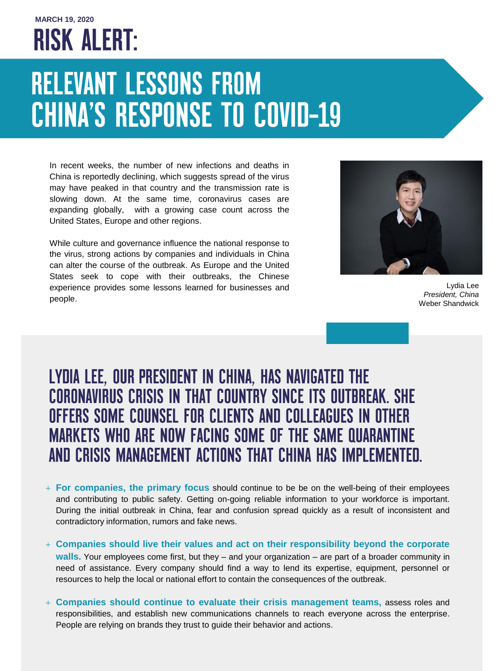## **MARCH 19, 2020 RISK ALERT:**

## **RELEVANT LESSONS FROM CHINA'S RESPONSE TO COVID-19**

In recent weeks, the number of new infections and deaths in China is reportedly declining, which suggests spread of the virus may have peaked in that country and the transmission rate is slowing down. At the same time, coronavirus cases are expanding globally, with a growing case count across the United States, Europe and other regions.

While culture and governance influence the national response to the virus, strong actions by companies and individuals in China can alter the course of the outbreak. As Europe and the United States seek to cope with their outbreaks, the Chinese experience provides some lessons learned for businesses and people.



Lydia Lee *President, China* Weber Shandwick

## LYDIA LEE, OUR PRESIDENT IN CHINA, HAS NAVIGATED THE **CORONAVIRUS CRISIS IN THAT COUNTRY SINCE ITS OUTBREAK. SHE** OFFERS SOME COUNSEL FOR CLIENTS AND COLLEAGUES IN OTHER **MARKETS WHO ARE NOW FACING SOME OF THE SAME QUARANTINE** AND CRISIS MANAGEMENT ACTIONS THAT CHINA HAS IMPLEMENTED.

- **For companies, the primary focus** should continue to be be on the well-being of their employees and contributing to public safety. Getting on-going reliable information to your workforce is important. During the initial outbreak in China, fear and confusion spread quickly as a result of inconsistent and contradictory information, rumors and fake news.
- **Companies should live their values and act on their responsibility beyond the corporate walls.** Your employees come first, but they – and your organization – are part of a broader community in need of assistance. Every company should find a way to lend its expertise, equipment, personnel or resources to help the local or national effort to contain the consequences of the outbreak.
- **Companies should continue to evaluate their crisis management teams,** assess roles and responsibilities, and establish new communications channels to reach everyone across the enterprise. People are relying on brands they trust to guide their behavior and actions.